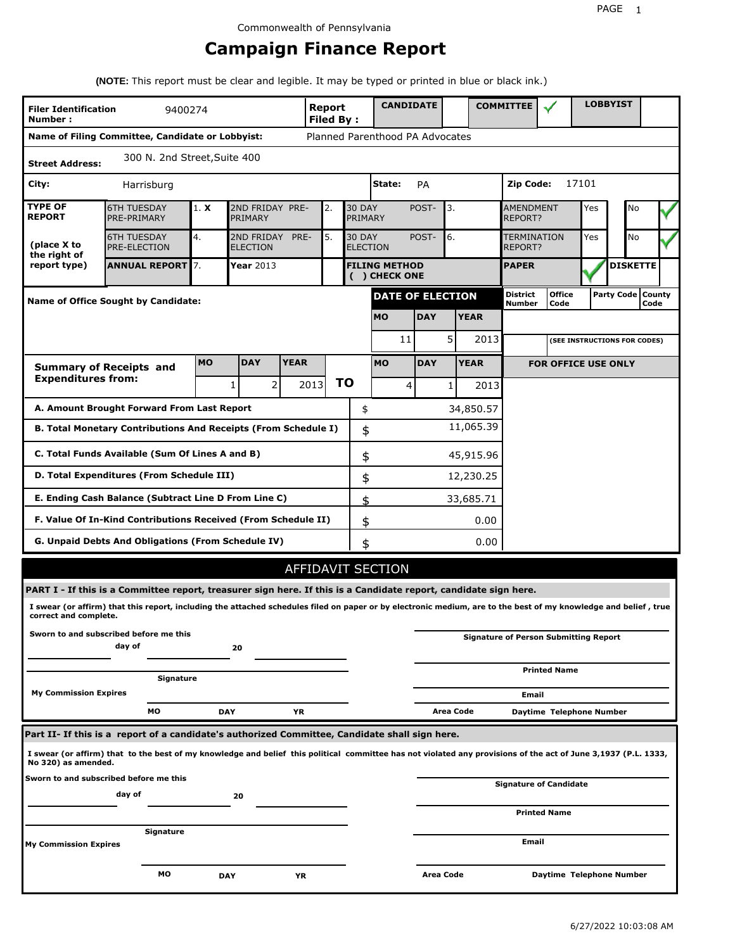# **Campaign Finance Report**

**(NOTE:** This report must be clear and legible. It may be typed or printed in blue or black ink.)

| <b>Filer Identification</b><br>Number: | 9400274                                                                                                                                                         |           |                               |             | Report<br><b>Filed By:</b> |           |                          | <b>CANDIDATE</b>                |                           |                       |             | <b>COMMITTEE</b>                   |                                              |       | <b>LOBBYIST</b> |  |  |
|----------------------------------------|-----------------------------------------------------------------------------------------------------------------------------------------------------------------|-----------|-------------------------------|-------------|----------------------------|-----------|--------------------------|---------------------------------|---------------------------|-----------------------|-------------|------------------------------------|----------------------------------------------|-------|-----------------|--|--|
|                                        | Name of Filing Committee, Candidate or Lobbyist:                                                                                                                |           |                               |             |                            |           |                          | Planned Parenthood PA Advocates |                           |                       |             |                                    |                                              |       |                 |  |  |
| <b>Street Address:</b>                 | 300 N. 2nd Street, Suite 400                                                                                                                                    |           |                               |             |                            |           |                          |                                 |                           |                       |             |                                    |                                              |       |                 |  |  |
| City:                                  | Harrisburg                                                                                                                                                      |           |                               |             |                            |           |                          | State:                          | PA                        |                       |             | Zip Code:                          |                                              | 17101 |                 |  |  |
| <b>TYPE OF</b><br><b>REPORT</b>        | <b>6TH TUESDAY</b><br>PRE-PRIMARY                                                                                                                               | 1. X      | 2ND FRIDAY PRE-<br>PRIMARY    |             | 2.                         |           | <b>30 DAY</b><br>PRIMARY |                                 | POST-                     | 3.                    |             | <b>AMENDMENT</b><br><b>REPORT?</b> | Yes                                          |       | No              |  |  |
| (place X to<br>the right of            | <b>6TH TUESDAY</b><br>PRE-ELECTION                                                                                                                              | 4.        | 2ND FRIDAY<br><b>ELECTION</b> | PRE-        | 5.                         |           | <b>30 DAY</b>            | <b>ELECTION</b>                 | POST-                     | 6.                    |             | TERMINATION<br>REPORT?             | Yes                                          |       | No              |  |  |
| report type)                           | <b>ANNUAL REPORT</b> 7.<br>Year 2013<br><b>FILING METHOD</b><br>( ) CHECK ONE                                                                                   |           |                               |             |                            |           |                          |                                 | <b>PAPER</b>              |                       |             |                                    | <b>DISKETTE</b>                              |       |                 |  |  |
|                                        | <b>DATE OF ELECTION</b><br><b>Name of Office Sought by Candidate:</b>                                                                                           |           |                               |             |                            |           |                          |                                 | <b>District</b><br>Number | <b>Office</b><br>Code |             |                                    | Party Code   County<br>Code                  |       |                 |  |  |
|                                        |                                                                                                                                                                 |           |                               |             |                            |           |                          | <b>MO</b>                       | <b>DAY</b>                |                       | <b>YEAR</b> |                                    |                                              |       |                 |  |  |
|                                        |                                                                                                                                                                 |           |                               |             |                            |           |                          | 11                              |                           | 5                     | 2013        |                                    | (SEE INSTRUCTIONS FOR CODES)                 |       |                 |  |  |
|                                        | <b>Summary of Receipts and</b>                                                                                                                                  | <b>MO</b> | <b>DAY</b>                    | <b>YEAR</b> |                            |           |                          | <b>MO</b>                       | <b>DAY</b>                |                       | <b>YEAR</b> |                                    | <b>FOR OFFICE USE ONLY</b>                   |       |                 |  |  |
| <b>Expenditures from:</b>              |                                                                                                                                                                 |           | $\overline{2}$<br>1           |             | 2013                       | <b>TO</b> |                          | 4                               |                           | $1\vert$              | 2013        |                                    |                                              |       |                 |  |  |
|                                        | A. Amount Brought Forward From Last Report                                                                                                                      |           |                               |             |                            |           | \$                       |                                 |                           |                       | 34,850.57   |                                    |                                              |       |                 |  |  |
|                                        | B. Total Monetary Contributions And Receipts (From Schedule I)                                                                                                  |           |                               |             |                            |           | \$                       |                                 |                           |                       | 11,065.39   |                                    |                                              |       |                 |  |  |
|                                        | C. Total Funds Available (Sum Of Lines A and B)                                                                                                                 |           |                               |             |                            |           | \$                       |                                 |                           |                       | 45,915.96   |                                    |                                              |       |                 |  |  |
|                                        | D. Total Expenditures (From Schedule III)                                                                                                                       |           |                               |             |                            |           | \$                       |                                 |                           |                       | 12,230.25   |                                    |                                              |       |                 |  |  |
|                                        | E. Ending Cash Balance (Subtract Line D From Line C)                                                                                                            |           |                               |             |                            |           | \$                       |                                 |                           |                       | 33,685.71   |                                    |                                              |       |                 |  |  |
|                                        | F. Value Of In-Kind Contributions Received (From Schedule II)                                                                                                   |           |                               |             |                            |           | \$                       |                                 |                           |                       | 0.00        |                                    |                                              |       |                 |  |  |
|                                        | <b>G. Unpaid Debts And Obligations (From Schedule IV)</b>                                                                                                       |           |                               |             |                            |           | \$                       |                                 |                           |                       | 0.00        |                                    |                                              |       |                 |  |  |
|                                        |                                                                                                                                                                 |           |                               |             |                            |           |                          | <b>AFFIDAVIT SECTION</b>        |                           |                       |             |                                    |                                              |       |                 |  |  |
|                                        | PART I - If this is a Committee report, treasurer sign here. If this is a Candidate report, candidate sign here.                                                |           |                               |             |                            |           |                          |                                 |                           |                       |             |                                    |                                              |       |                 |  |  |
| correct and complete.                  | I swear (or affirm) that this report, including the attached schedules filed on paper or by electronic medium, are to the best of my knowledge and belief, true |           |                               |             |                            |           |                          |                                 |                           |                       |             |                                    |                                              |       |                 |  |  |
|                                        | Sworn to and subscribed before me this<br>day of                                                                                                                |           | 20                            |             |                            |           |                          |                                 |                           |                       |             |                                    | <b>Signature of Person Submitting Report</b> |       |                 |  |  |
|                                        | Signature                                                                                                                                                       |           |                               |             |                            |           |                          |                                 |                           |                       |             |                                    | <b>Printed Name</b>                          |       |                 |  |  |
| <b>My Commission Expires</b>           |                                                                                                                                                                 |           |                               |             |                            |           |                          |                                 |                           |                       |             | Email                              |                                              |       |                 |  |  |
|                                        | MО                                                                                                                                                              |           | <b>DAY</b>                    | ΥR          |                            |           |                          |                                 |                           | Area Code             |             |                                    | Daytime Telephone Number                     |       |                 |  |  |
|                                        | Part II- If this is a report of a candidate's authorized Committee, Candidate shall sign here.                                                                  |           |                               |             |                            |           |                          |                                 |                           |                       |             |                                    |                                              |       |                 |  |  |
| No 320) as amended.                    | I swear (or affirm) that to the best of my knowledge and belief this political committee has not violated any provisions of the act of June 3,1937 (P.L. 1333,  |           |                               |             |                            |           |                          |                                 |                           |                       |             |                                    |                                              |       |                 |  |  |
|                                        | Sworn to and subscribed before me this<br>day of                                                                                                                |           | 20                            |             |                            |           |                          |                                 |                           |                       |             |                                    | Signature of Candidate                       |       |                 |  |  |
|                                        |                                                                                                                                                                 |           |                               |             |                            |           |                          |                                 |                           |                       |             |                                    | <b>Printed Name</b>                          |       |                 |  |  |
| <b>My Commission Expires</b>           | Signature                                                                                                                                                       |           |                               |             |                            |           |                          |                                 |                           |                       |             | Email                              |                                              |       |                 |  |  |
|                                        |                                                                                                                                                                 |           |                               |             |                            |           |                          |                                 |                           |                       |             |                                    |                                              |       |                 |  |  |
|                                        | МO                                                                                                                                                              |           | <b>DAY</b>                    | YR          |                            |           |                          |                                 | Area Code                 |                       |             |                                    | Daytime Telephone Number                     |       |                 |  |  |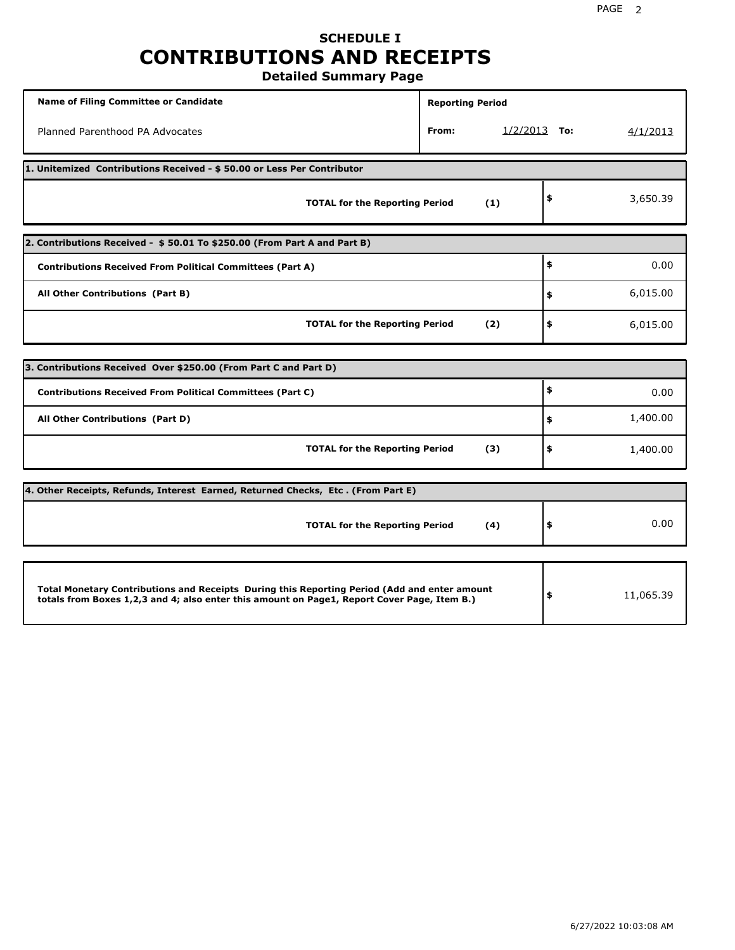# **SCHEDULE I CONTRIBUTIONS AND RECEIPTS**

**Detailed Summary Page**

| <b>Name of Filing Committee or Candidate</b>                                                                                                                                                | <b>Reporting Period</b> |                |           |
|---------------------------------------------------------------------------------------------------------------------------------------------------------------------------------------------|-------------------------|----------------|-----------|
| Planned Parenthood PA Advocates                                                                                                                                                             | From:                   | $1/2/2013$ To: | 4/1/2013  |
| 1. Unitemized Contributions Received - \$50.00 or Less Per Contributor                                                                                                                      |                         |                |           |
| <b>TOTAL for the Reporting Period</b>                                                                                                                                                       | (1)                     | \$             | 3,650.39  |
| 2. Contributions Received - \$50.01 To \$250.00 (From Part A and Part B)                                                                                                                    |                         |                |           |
| <b>Contributions Received From Political Committees (Part A)</b>                                                                                                                            |                         | \$             | 0.00      |
| All Other Contributions (Part B)                                                                                                                                                            |                         | \$             | 6,015.00  |
| <b>TOTAL for the Reporting Period</b>                                                                                                                                                       | (2)                     | \$             | 6,015.00  |
| 3. Contributions Received Over \$250.00 (From Part C and Part D)                                                                                                                            |                         |                |           |
| <b>Contributions Received From Political Committees (Part C)</b>                                                                                                                            |                         | \$             |           |
|                                                                                                                                                                                             |                         |                | 0.00      |
| All Other Contributions (Part D)                                                                                                                                                            |                         | \$             | 1,400.00  |
| <b>TOTAL for the Reporting Period</b>                                                                                                                                                       | (3)                     | \$             | 1,400.00  |
| 4. Other Receipts, Refunds, Interest Earned, Returned Checks, Etc. (From Part E)                                                                                                            |                         |                |           |
| <b>TOTAL for the Reporting Period</b>                                                                                                                                                       | (4)                     | \$             | 0.00      |
|                                                                                                                                                                                             |                         |                |           |
| Total Monetary Contributions and Receipts During this Reporting Period (Add and enter amount<br>totals from Boxes 1,2,3 and 4; also enter this amount on Page1, Report Cover Page, Item B.) |                         | \$             | 11,065.39 |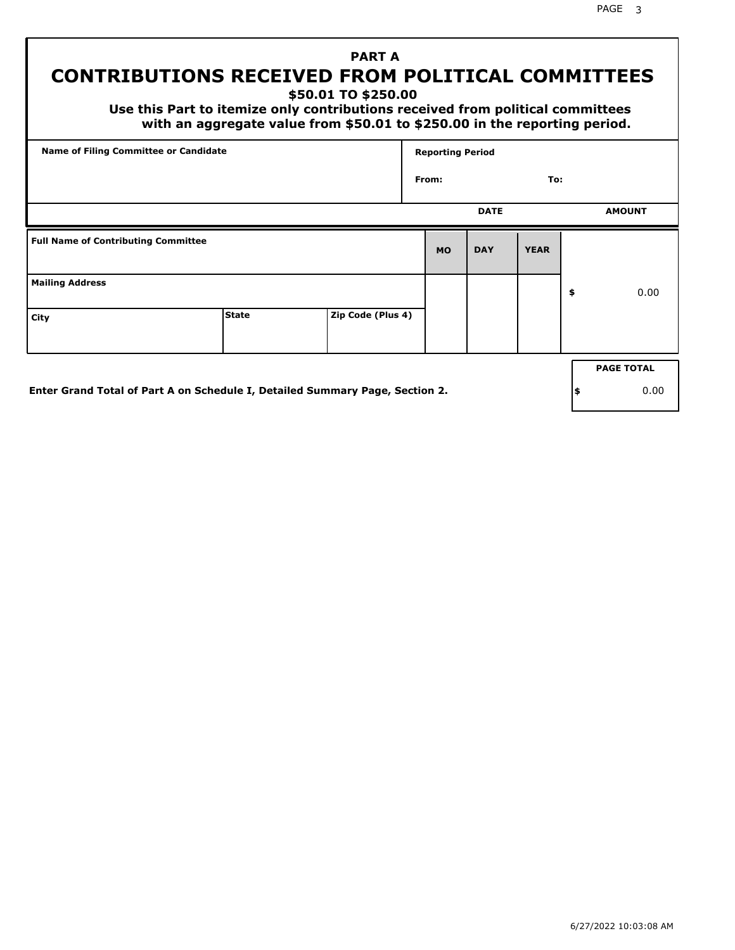## **PART A CONTRIBUTIONS RECEIVED FROM POLITICAL COMMITTEES**

**\$50.01 TO \$250.00**

 **Use this Part to itemize only contributions received from political committees with an aggregate value from \$50.01 to \$250.00 in the reporting period.**

|                                            | <b>Name of Filing Committee or Candidate</b>                                 |                   |           | <b>Reporting Period</b> |             |    |                   |
|--------------------------------------------|------------------------------------------------------------------------------|-------------------|-----------|-------------------------|-------------|----|-------------------|
|                                            |                                                                              |                   | From:     |                         | To:         |    |                   |
|                                            |                                                                              |                   |           | <b>DATE</b>             |             |    | <b>AMOUNT</b>     |
| <b>Full Name of Contributing Committee</b> |                                                                              |                   | <b>MO</b> | <b>DAY</b>              | <b>YEAR</b> |    |                   |
| <b>Mailing Address</b>                     |                                                                              |                   |           |                         |             | \$ | 0.00              |
| City                                       | <b>State</b>                                                                 | Zip Code (Plus 4) |           |                         |             |    |                   |
|                                            |                                                                              |                   |           |                         |             |    | <b>PAGE TOTAL</b> |
|                                            | Enter Grand Total of Part A on Schedule I, Detailed Summary Page, Section 2. |                   |           |                         |             | \$ | 0.00              |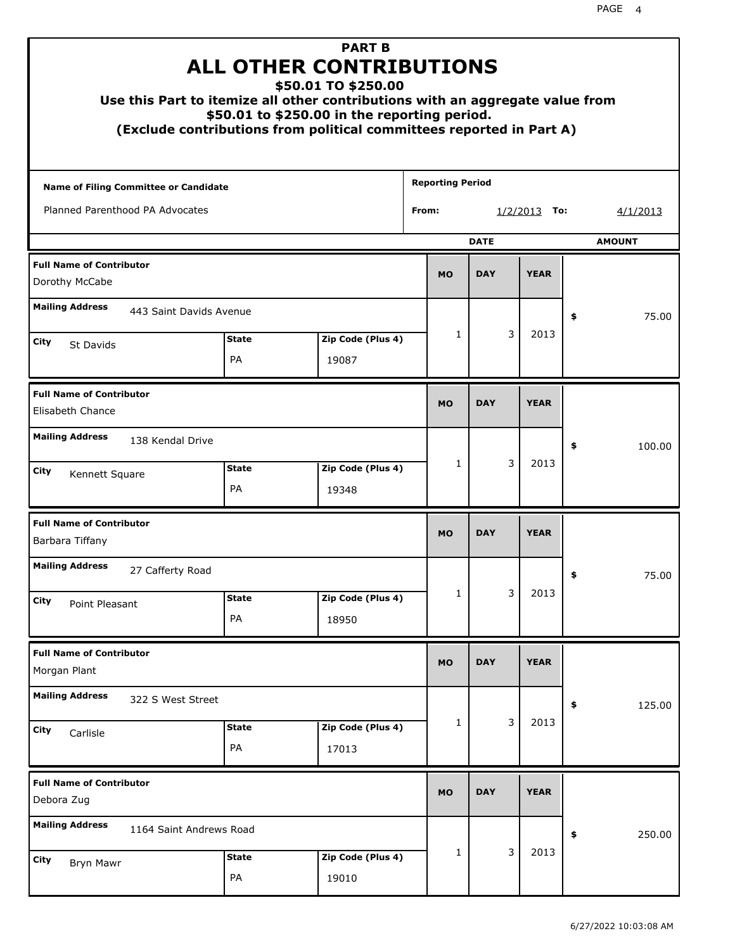| Use this Part to itemize all other contributions with an aggregate value from |                           | <b>PART B</b><br><b>ALL OTHER CONTRIBUTIONS</b><br>\$50.01 TO \$250.00<br>\$50.01 to \$250.00 in the reporting period.<br>(Exclude contributions from political committees reported in Part A) |                         |             |                        |               |
|-------------------------------------------------------------------------------|---------------------------|------------------------------------------------------------------------------------------------------------------------------------------------------------------------------------------------|-------------------------|-------------|------------------------|---------------|
| <b>Name of Filing Committee or Candidate</b>                                  |                           |                                                                                                                                                                                                | <b>Reporting Period</b> |             |                        |               |
| Planned Parenthood PA Advocates                                               |                           |                                                                                                                                                                                                | From:                   |             | <u>1/2/2013</u><br>To: | 4/1/2013      |
|                                                                               |                           |                                                                                                                                                                                                |                         | <b>DATE</b> |                        | <b>AMOUNT</b> |
| <b>Full Name of Contributor</b><br>Dorothy McCabe                             |                           |                                                                                                                                                                                                | <b>MO</b>               | <b>DAY</b>  | <b>YEAR</b>            |               |
| <b>Mailing Address</b><br>443 Saint Davids Avenue                             |                           |                                                                                                                                                                                                |                         |             |                        | 75.00<br>\$   |
| City<br>St Davids                                                             | <b>State</b>              | Zip Code (Plus 4)                                                                                                                                                                              | 1                       | 3           | 2013                   |               |
|                                                                               | <b>PA</b>                 | 19087                                                                                                                                                                                          |                         |             |                        |               |
| <b>Full Name of Contributor</b><br>Elisabeth Chance                           |                           |                                                                                                                                                                                                | <b>MO</b>               | <b>DAY</b>  | <b>YEAR</b>            |               |
| <b>Mailing Address</b><br>138 Kendal Drive                                    |                           |                                                                                                                                                                                                |                         |             |                        | \$<br>100.00  |
| City<br>Kennett Square                                                        | <b>State</b><br><b>PA</b> | Zip Code (Plus 4)<br>19348                                                                                                                                                                     | 1                       | 3           | 2013                   |               |
| <b>Full Name of Contributor</b><br>Barbara Tiffany                            |                           |                                                                                                                                                                                                | <b>MO</b>               | <b>DAY</b>  | <b>YEAR</b>            |               |
| <b>Mailing Address</b><br>27 Cafferty Road                                    |                           |                                                                                                                                                                                                |                         |             |                        | 75.00<br>Ş    |
| City<br>Point Pleasant                                                        | <b>State</b><br>PA        | Zip Code (Plus 4)<br>18950                                                                                                                                                                     | 1                       | 3           | 2013                   |               |
| <b>Full Name of Contributor</b><br>Morgan Plant                               |                           |                                                                                                                                                                                                | <b>MO</b>               | <b>DAY</b>  | <b>YEAR</b>            |               |
| <b>Mailing Address</b><br>322 S West Street                                   |                           |                                                                                                                                                                                                |                         |             |                        | 125.00<br>\$  |
| City<br>Carlisle                                                              | <b>State</b><br>PA        | Zip Code (Plus 4)<br>17013                                                                                                                                                                     | 1                       | 3           | 2013                   |               |
| <b>Full Name of Contributor</b><br>Debora Zug                                 |                           |                                                                                                                                                                                                | <b>MO</b>               | <b>DAY</b>  | <b>YEAR</b>            |               |
| <b>Mailing Address</b><br>1164 Saint Andrews Road                             |                           |                                                                                                                                                                                                |                         |             |                        | 250.00<br>\$  |
| City<br>Bryn Mawr                                                             | <b>State</b><br>PA        | Zip Code (Plus 4)<br>19010                                                                                                                                                                     | 1                       | 3           | 2013                   |               |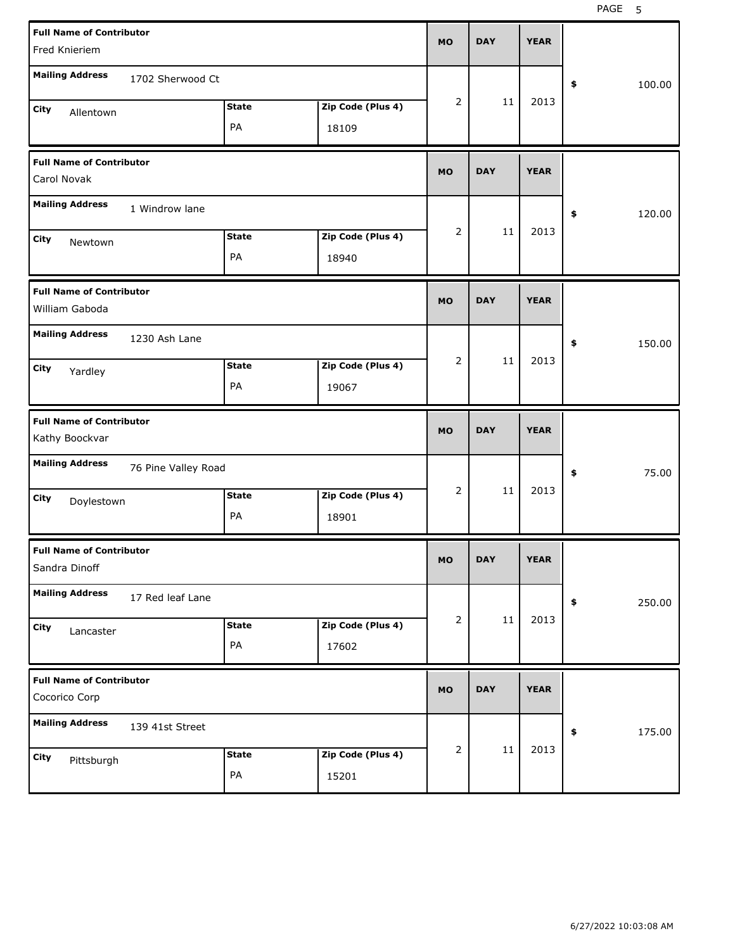| <b>Full Name of Contributor</b><br>Fred Knieriem  |                     |                    |                            | <b>MO</b> | <b>DAY</b> | <b>YEAR</b> |                      |
|---------------------------------------------------|---------------------|--------------------|----------------------------|-----------|------------|-------------|----------------------|
| <b>Mailing Address</b>                            | 1702 Sherwood Ct    |                    |                            |           |            |             | \$<br>100.00         |
| City<br>Allentown                                 |                     | <b>State</b>       | Zip Code (Plus 4)          | 2         | 11         | 2013        |                      |
|                                                   |                     | PA                 | 18109                      |           |            |             |                      |
| <b>Full Name of Contributor</b><br>Carol Novak    |                     |                    |                            | <b>MO</b> | <b>DAY</b> | <b>YEAR</b> |                      |
| <b>Mailing Address</b>                            | 1 Windrow lane      |                    |                            |           |            |             | \$<br>120.00         |
| City<br>Newtown                                   |                     | <b>State</b><br>PA | Zip Code (Plus 4)<br>18940 | 2         | 11         | 2013        |                      |
| <b>Full Name of Contributor</b><br>William Gaboda |                     |                    |                            | <b>MO</b> | <b>DAY</b> | <b>YEAR</b> |                      |
| <b>Mailing Address</b>                            | 1230 Ash Lane       |                    |                            |           |            |             | \$<br>150.00         |
| City<br>Yardley                                   |                     | <b>State</b><br>PA | Zip Code (Plus 4)<br>19067 | 2         | 11         | 2013        |                      |
|                                                   |                     |                    |                            |           |            |             |                      |
| <b>Full Name of Contributor</b><br>Kathy Boockvar |                     |                    |                            | <b>MO</b> | <b>DAY</b> | <b>YEAR</b> |                      |
| <b>Mailing Address</b>                            | 76 Pine Valley Road |                    |                            |           |            |             | 75.00<br>\$          |
| City<br>Doylestown                                |                     | <b>State</b><br>PA | Zip Code (Plus 4)<br>18901 | 2         | 11         | 2013        |                      |
| <b>Full Name of Contributor</b><br>Sandra Dinoff  |                     |                    |                            | <b>MO</b> | DAY        | YEAK        |                      |
| <b>Mailing Address</b>                            | 17 Red leaf Lane    |                    |                            |           |            |             | 250.00<br>$\pmb{\$}$ |
| City<br>Lancaster                                 |                     | <b>State</b><br>PA | Zip Code (Plus 4)<br>17602 | 2         | $11\,$     | 2013        |                      |
| <b>Full Name of Contributor</b><br>Cocorico Corp  |                     |                    |                            | <b>MO</b> | <b>DAY</b> | <b>YEAR</b> |                      |
| <b>Mailing Address</b>                            | 139 41st Street     |                    |                            |           |            |             | 175.00<br>\$         |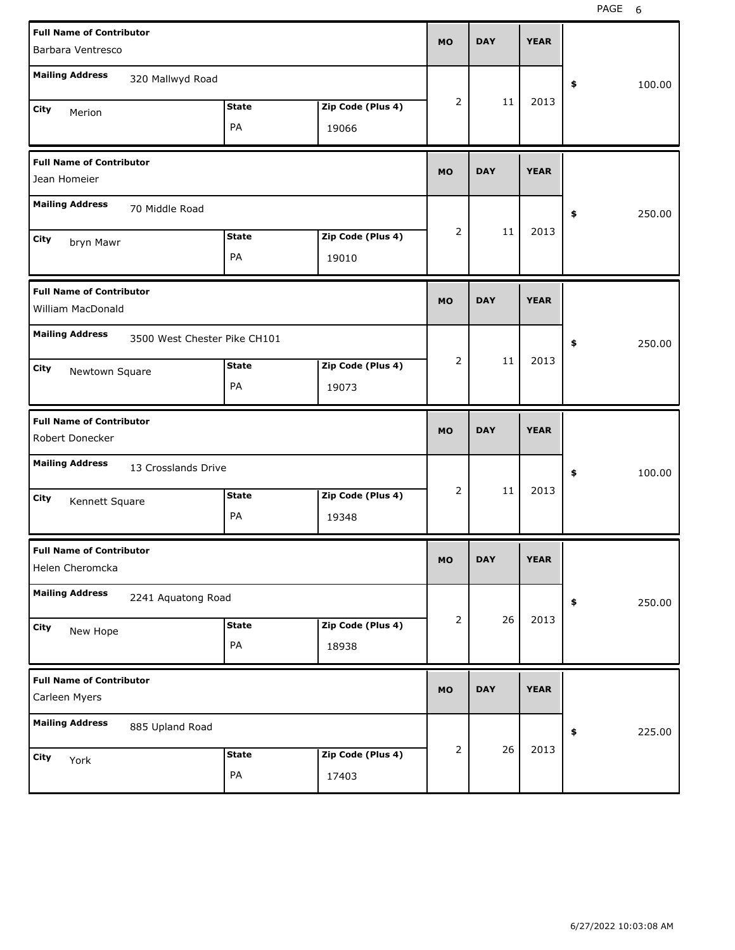| <b>Full Name of Contributor</b><br>Barbara Ventresco |                              |              |                   | <b>MO</b>      | <b>DAY</b> | <b>YEAR</b> |              |
|------------------------------------------------------|------------------------------|--------------|-------------------|----------------|------------|-------------|--------------|
| <b>Mailing Address</b>                               | 320 Mallwyd Road             |              |                   |                |            |             | 100.00<br>\$ |
|                                                      |                              |              |                   | 2              | 11         | 2013        |              |
| City<br>Merion                                       |                              | <b>State</b> | Zip Code (Plus 4) |                |            |             |              |
|                                                      |                              | PA           | 19066             |                |            |             |              |
| <b>Full Name of Contributor</b><br>Jean Homeier      |                              |              |                   | <b>MO</b>      | <b>DAY</b> | <b>YEAR</b> |              |
| <b>Mailing Address</b>                               | 70 Middle Road               |              |                   |                |            |             | 250.00<br>\$ |
|                                                      |                              | <b>State</b> | Zip Code (Plus 4) | 2              | 11         | 2013        |              |
| City<br>bryn Mawr                                    |                              | PA           | 19010             |                |            |             |              |
|                                                      |                              |              |                   |                |            |             |              |
| <b>Full Name of Contributor</b><br>William MacDonald |                              |              |                   | <b>MO</b>      | <b>DAY</b> | <b>YEAR</b> |              |
| <b>Mailing Address</b>                               | 3500 West Chester Pike CH101 |              |                   |                |            |             | 250.00<br>\$ |
| City<br>Newtown Square                               |                              | <b>State</b> | Zip Code (Plus 4) | 2              | 11         | 2013        |              |
|                                                      |                              | PA           | 19073             |                |            |             |              |
|                                                      |                              |              |                   |                |            |             |              |
| <b>Full Name of Contributor</b><br>Robert Donecker   |                              |              |                   | <b>MO</b>      | <b>DAY</b> | <b>YEAR</b> |              |
| <b>Mailing Address</b>                               | 13 Crosslands Drive          |              |                   |                |            |             | \$<br>100.00 |
| City                                                 |                              | <b>State</b> | Zip Code (Plus 4) | 2              | 11         | 2013        |              |
| Kennett Square                                       |                              | PA           | 19348             |                |            |             |              |
| <b>Full Name of Contributor</b><br>Helen Cheromcka   |                              |              |                   | МO             | DAY        | <b>YEAR</b> |              |
| <b>Mailing Address</b>                               | 2241 Aquatong Road           |              |                   |                |            |             | 250.00<br>\$ |
| City                                                 |                              | <b>State</b> | Zip Code (Plus 4) | $\overline{2}$ | 26         | 2013        |              |
| New Hope                                             |                              | PA           | 18938             |                |            |             |              |
| <b>Full Name of Contributor</b><br>Carleen Myers     |                              |              |                   | <b>MO</b>      | <b>DAY</b> | <b>YEAR</b> |              |
| <b>Mailing Address</b>                               | 885 Upland Road              |              |                   |                |            |             | 225.00<br>\$ |
| City<br>York                                         |                              | <b>State</b> | Zip Code (Plus 4) | 2              | 26         | 2013        |              |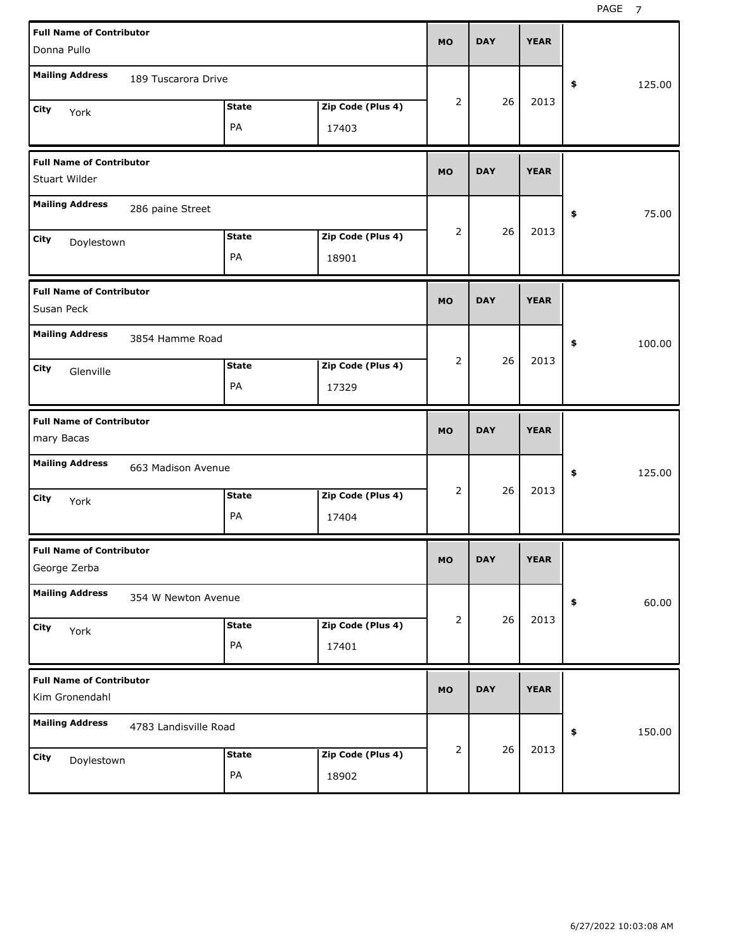| <b>Full Name of Contributor</b><br>Donna Pullo     |                       |                    |                            | <b>MO</b> | <b>DAY</b> | <b>YEAR</b> |              |
|----------------------------------------------------|-----------------------|--------------------|----------------------------|-----------|------------|-------------|--------------|
| <b>Mailing Address</b>                             | 189 Tuscarora Drive   |                    |                            |           |            |             | 125.00<br>\$ |
| <b>City</b><br>York                                |                       | <b>State</b><br>PA | Zip Code (Plus 4)<br>17403 | 2         | 26         | 2013        |              |
| <b>Full Name of Contributor</b><br>Stuart Wilder   |                       |                    |                            | <b>MO</b> | <b>DAY</b> | <b>YEAR</b> |              |
| <b>Mailing Address</b>                             | 286 paine Street      |                    |                            |           |            |             | \$<br>75.00  |
| <b>City</b><br>Doylestown                          |                       | <b>State</b><br>PA | Zip Code (Plus 4)<br>18901 | 2         | 26         | 2013        |              |
| <b>Full Name of Contributor</b><br>Susan Peck      |                       |                    |                            | <b>MO</b> | <b>DAY</b> | <b>YEAR</b> |              |
| <b>Mailing Address</b><br><b>City</b><br>Glenville | 3854 Hamme Road       | <b>State</b><br>PA | Zip Code (Plus 4)<br>17329 | 2         | 26         | 2013        | \$<br>100.00 |
|                                                    |                       |                    |                            |           |            |             |              |
| <b>Full Name of Contributor</b><br>mary Bacas      |                       |                    |                            | <b>MO</b> | <b>DAY</b> | <b>YEAR</b> |              |
| <b>Mailing Address</b>                             | 663 Madison Avenue    |                    |                            |           |            |             | \$<br>125.00 |
| <b>City</b><br>York                                |                       | <b>State</b><br>PA | Zip Code (Plus 4)<br>17404 | 2         | 26         | 2013        |              |
| <b>Full Name of Contributor</b><br>George Zerba    |                       |                    |                            | MO        | <b>DAY</b> | <b>YEAR</b> |              |
| <b>Mailing Address</b>                             | 354 W Newton Avenue   |                    |                            |           |            |             | 60.00<br>\$  |
| City<br>York                                       |                       | <b>State</b><br>PA | Zip Code (Plus 4)<br>17401 | 2         | 26         | 2013        |              |
| <b>Full Name of Contributor</b><br>Kim Gronendahl  |                       |                    |                            | <b>MO</b> | <b>DAY</b> | <b>YEAR</b> |              |
| <b>Mailing Address</b>                             | 4783 Landisville Road |                    |                            | 2         | 26         | 2013        | \$<br>150.00 |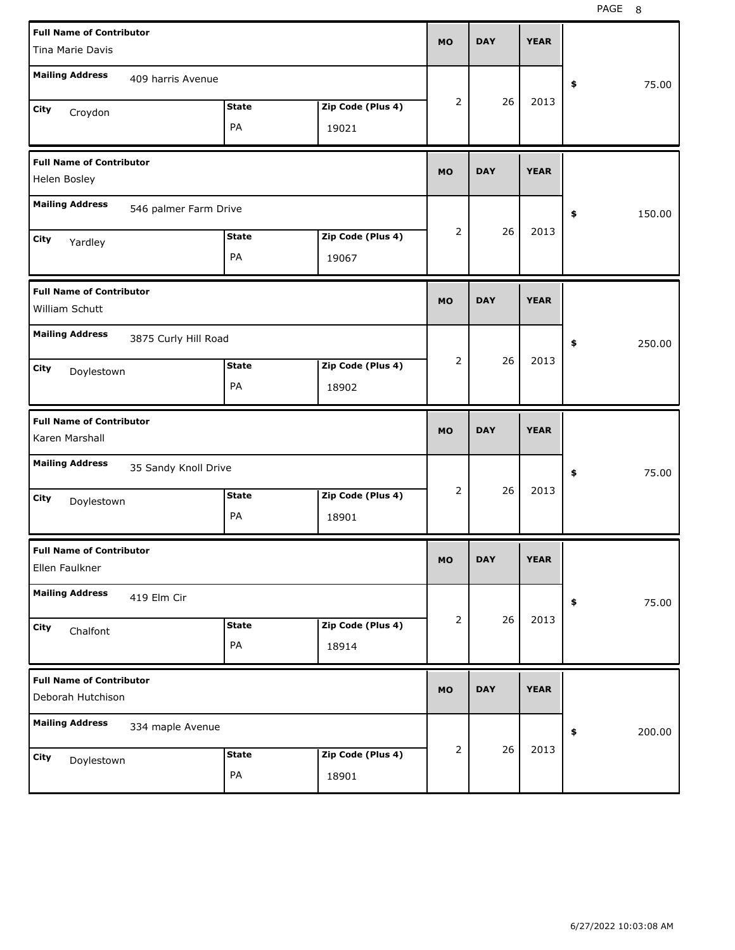| <b>Full Name of Contributor</b>                   |                       |              |                   |           |            |             |              |
|---------------------------------------------------|-----------------------|--------------|-------------------|-----------|------------|-------------|--------------|
| <b>Tina Marie Davis</b>                           |                       |              |                   | <b>MO</b> | <b>DAY</b> | <b>YEAR</b> |              |
| <b>Mailing Address</b>                            | 409 harris Avenue     |              |                   |           |            |             |              |
|                                                   |                       |              |                   | 2         | 26         | 2013        | \$<br>75.00  |
| City<br>Croydon                                   |                       | <b>State</b> | Zip Code (Plus 4) |           |            |             |              |
|                                                   |                       | PA           | 19021             |           |            |             |              |
| <b>Full Name of Contributor</b>                   |                       |              |                   |           |            |             |              |
| Helen Bosley                                      |                       |              |                   | <b>MO</b> | <b>DAY</b> | <b>YEAR</b> |              |
| <b>Mailing Address</b>                            | 546 palmer Farm Drive |              |                   |           |            |             | \$<br>150.00 |
| City<br>Yardley                                   |                       | <b>State</b> | Zip Code (Plus 4) | 2         | 26         | 2013        |              |
|                                                   |                       | PA           | 19067             |           |            |             |              |
| <b>Full Name of Contributor</b>                   |                       |              |                   |           |            |             |              |
| William Schutt                                    |                       |              |                   | <b>MO</b> | <b>DAY</b> | <b>YEAR</b> |              |
| <b>Mailing Address</b>                            | 3875 Curly Hill Road  |              |                   |           |            |             | \$<br>250.00 |
| City                                              |                       | <b>State</b> | Zip Code (Plus 4) | 2         | 26         | 2013        |              |
| Doylestown                                        |                       | PA           | 18902             |           |            |             |              |
|                                                   |                       |              |                   |           |            |             |              |
|                                                   |                       |              |                   |           |            |             |              |
| <b>Full Name of Contributor</b><br>Karen Marshall |                       |              |                   | <b>MO</b> | <b>DAY</b> | <b>YEAR</b> |              |
| <b>Mailing Address</b>                            | 35 Sandy Knoll Drive  |              |                   |           |            |             | \$<br>75.00  |
|                                                   |                       | <b>State</b> | Zip Code (Plus 4) | 2         | 26         | 2013        |              |
| City<br>Doylestown                                |                       | PA           | 18901             |           |            |             |              |
|                                                   |                       |              |                   |           |            |             |              |
| <b>Full Name of Contributor</b><br>Ellen Faulkner |                       |              |                   | МO        | <b>DAY</b> | <b>YEAR</b> |              |
| <b>Mailing Address</b>                            | 419 Elm Cir           |              |                   |           |            |             | \$<br>75.00  |
|                                                   |                       | <b>State</b> | Zip Code (Plus 4) | 2         | 26         | 2013        |              |
| City<br>Chalfont                                  |                       | PA           | 18914             |           |            |             |              |
| <b>Full Name of Contributor</b>                   |                       |              |                   |           |            |             |              |
| Deborah Hutchison                                 |                       |              |                   | <b>MO</b> | <b>DAY</b> | <b>YEAR</b> |              |
| <b>Mailing Address</b>                            | 334 maple Avenue      |              |                   |           |            |             | \$<br>200.00 |
|                                                   |                       | <b>State</b> | Zip Code (Plus 4) | 2         | 26         | 2013        |              |
| City<br>Doylestown                                |                       | PA           | 18901             |           |            |             |              |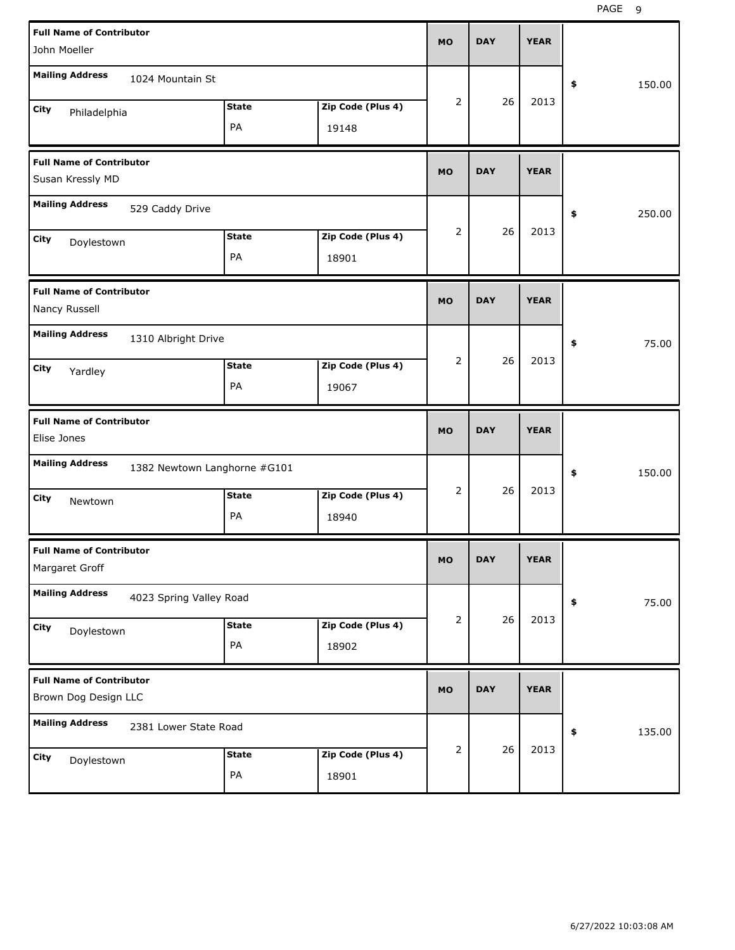| <b>Full Name of Contributor</b><br>John Moeller         |                              |              |                   | <b>MO</b>      | <b>DAY</b> | <b>YEAR</b> |              |
|---------------------------------------------------------|------------------------------|--------------|-------------------|----------------|------------|-------------|--------------|
| <b>Mailing Address</b>                                  | 1024 Mountain St             |              |                   |                |            |             | \$<br>150.00 |
| City<br>Philadelphia                                    |                              | <b>State</b> | Zip Code (Plus 4) | $\overline{2}$ | 26         | 2013        |              |
|                                                         |                              | PA           | 19148             |                |            |             |              |
| <b>Full Name of Contributor</b><br>Susan Kressly MD     |                              |              |                   | <b>MO</b>      | <b>DAY</b> | <b>YEAR</b> |              |
| <b>Mailing Address</b>                                  | 529 Caddy Drive              |              |                   |                |            |             | \$<br>250.00 |
| City<br>Doylestown                                      |                              | <b>State</b> | Zip Code (Plus 4) | 2              | 26         | 2013        |              |
|                                                         |                              | PA           | 18901             |                |            |             |              |
| <b>Full Name of Contributor</b><br>Nancy Russell        |                              |              |                   | <b>MO</b>      | <b>DAY</b> | <b>YEAR</b> |              |
| <b>Mailing Address</b>                                  | 1310 Albright Drive          |              |                   |                |            |             | \$<br>75.00  |
| City<br>Yardley                                         |                              | <b>State</b> | Zip Code (Plus 4) | $\overline{2}$ | 26         | 2013        |              |
|                                                         |                              | PA           | 19067             |                |            |             |              |
|                                                         |                              |              |                   |                |            |             |              |
| <b>Full Name of Contributor</b><br>Elise Jones          |                              |              |                   | <b>MO</b>      | <b>DAY</b> | <b>YEAR</b> |              |
| <b>Mailing Address</b>                                  | 1382 Newtown Langhorne #G101 |              |                   |                |            |             | \$<br>150.00 |
| City<br>Newtown                                         |                              | <b>State</b> | Zip Code (Plus 4) | 2              | 26         | 2013        |              |
|                                                         |                              | PA           | 18940             |                |            |             |              |
| <b>Full Name of Contributor</b><br>Margaret Groff       |                              |              |                   | МO             | DAY        | <b>YEAR</b> |              |
| <b>Mailing Address</b>                                  | 4023 Spring Valley Road      |              |                   |                |            |             | 75.00<br>\$  |
| City                                                    |                              | <b>State</b> | Zip Code (Plus 4) | 2              | 26         | 2013        |              |
| Doylestown                                              |                              | PA           | 18902             |                |            |             |              |
| <b>Full Name of Contributor</b><br>Brown Dog Design LLC |                              |              |                   | <b>MO</b>      | <b>DAY</b> | <b>YEAR</b> |              |
| <b>Mailing Address</b>                                  | 2381 Lower State Road        |              |                   |                |            |             | 135.00<br>\$ |
| City<br>Doylestown                                      |                              | <b>State</b> | Zip Code (Plus 4) | 2              | 26         | 2013        |              |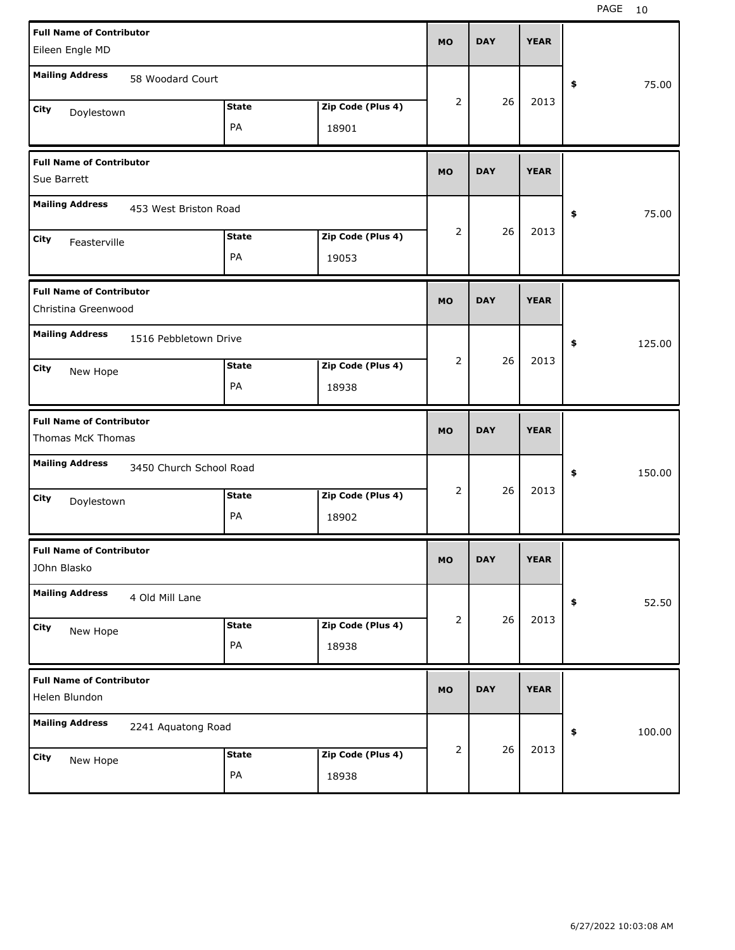| <b>Full Name of Contributor</b><br>Eileen Engle MD     |                         |                   | <b>MO</b>      | <b>DAY</b> | <b>YEAR</b> |              |
|--------------------------------------------------------|-------------------------|-------------------|----------------|------------|-------------|--------------|
|                                                        |                         |                   |                |            |             |              |
| <b>Mailing Address</b>                                 | 58 Woodard Court        |                   |                |            |             | 75.00<br>\$  |
| City<br>Doylestown                                     | <b>State</b>            | Zip Code (Plus 4) | 2              | 26         | 2013        |              |
|                                                        | PA                      | 18901             |                |            |             |              |
| <b>Full Name of Contributor</b><br>Sue Barrett         |                         |                   | <b>MO</b>      | <b>DAY</b> | <b>YEAR</b> |              |
| <b>Mailing Address</b>                                 | 453 West Briston Road   |                   |                |            |             | 75.00<br>\$  |
| City                                                   | <b>State</b>            | Zip Code (Plus 4) | 2              | 26         | 2013        |              |
| Feasterville                                           | PA                      | 19053             |                |            |             |              |
| <b>Full Name of Contributor</b><br>Christina Greenwood |                         |                   | <b>MO</b>      | <b>DAY</b> | <b>YEAR</b> |              |
| <b>Mailing Address</b>                                 | 1516 Pebbletown Drive   |                   |                |            |             | 125.00<br>\$ |
| City<br>New Hope                                       | <b>State</b>            | Zip Code (Plus 4) | 2              | 26         | 2013        |              |
|                                                        | PA                      | 18938             |                |            |             |              |
|                                                        |                         |                   |                |            |             |              |
| <b>Full Name of Contributor</b><br>Thomas McK Thomas   |                         |                   | <b>MO</b>      | <b>DAY</b> | <b>YEAR</b> |              |
| <b>Mailing Address</b>                                 | 3450 Church School Road |                   |                |            |             | \$<br>150.00 |
| City                                                   | <b>State</b>            | Zip Code (Plus 4) | $\overline{2}$ | 26         | 2013        |              |
| Doylestown                                             | PA                      | 18902             |                |            |             |              |
| <b>Full Name of Contributor</b><br>JOhn Blasko         |                         |                   | <b>MO</b>      | <b>DAY</b> | <b>YEAR</b> |              |
| <b>Mailing Address</b><br>4 Old Mill Lane              |                         |                   |                |            |             | 52.50<br>\$  |
| City                                                   | <b>State</b>            | Zip Code (Plus 4) | 2              | 26         | 2013        |              |
| New Hope                                               | PA                      | 18938             |                |            |             |              |
| <b>Full Name of Contributor</b><br>Helen Blundon       |                         |                   | <b>MO</b>      | <b>DAY</b> | <b>YEAR</b> |              |
| <b>Mailing Address</b>                                 | 2241 Aquatong Road      |                   |                |            |             | 100.00<br>\$ |
| City<br>New Hope                                       | <b>State</b>            | Zip Code (Plus 4) | 2              | 26         | 2013        |              |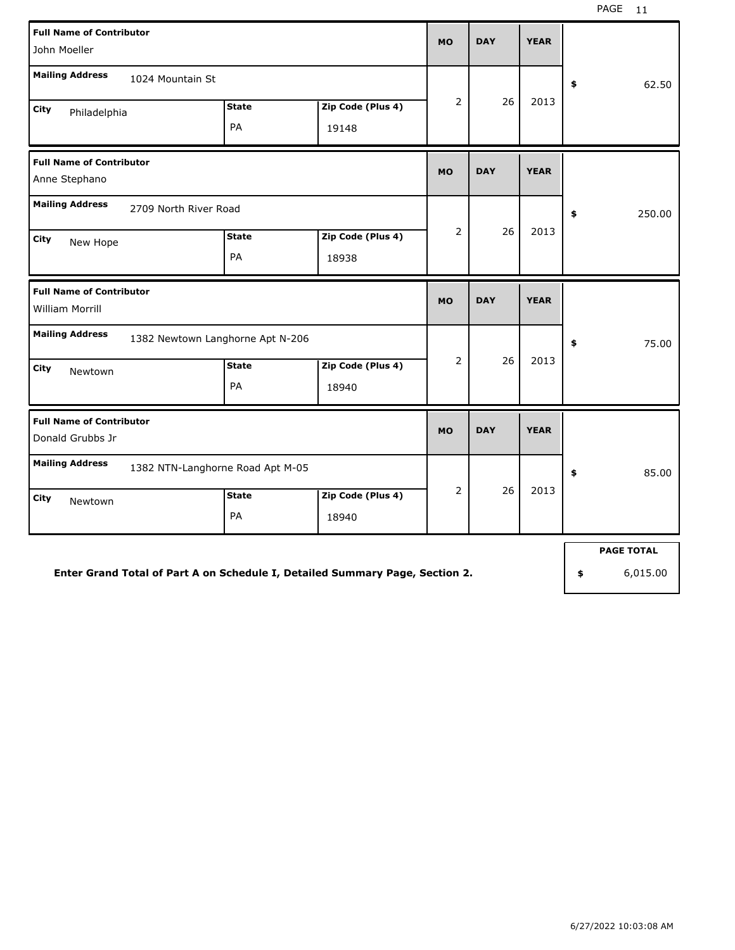| <b>Full Name of Contributor</b><br>John Moeller     |                                  |                    |                            | <b>MO</b>      | <b>DAY</b> | <b>YEAR</b> |                   |
|-----------------------------------------------------|----------------------------------|--------------------|----------------------------|----------------|------------|-------------|-------------------|
| <b>Mailing Address</b>                              | 1024 Mountain St                 |                    |                            |                |            |             | \$<br>62.50       |
| City<br>Philadelphia                                |                                  | <b>State</b><br>PA | Zip Code (Plus 4)<br>19148 | $\overline{2}$ | 26         | 2013        |                   |
| <b>Full Name of Contributor</b><br>Anne Stephano    |                                  |                    |                            | <b>MO</b>      | <b>DAY</b> | <b>YEAR</b> |                   |
| <b>Mailing Address</b>                              | 2709 North River Road            |                    |                            |                |            |             | \$<br>250.00      |
| <b>City</b><br>New Hope                             |                                  | <b>State</b><br>PA | Zip Code (Plus 4)<br>18938 | 2              | 26         | 2013        |                   |
| <b>Full Name of Contributor</b><br>William Morrill  |                                  |                    |                            | <b>MO</b>      | <b>DAY</b> | <b>YEAR</b> |                   |
| <b>Mailing Address</b>                              | 1382 Newtown Langhorne Apt N-206 |                    |                            |                |            |             | \$<br>75.00       |
| City<br>Newtown                                     |                                  | <b>State</b><br>PA | Zip Code (Plus 4)<br>18940 | $\overline{2}$ | 26         | 2013        |                   |
| <b>Full Name of Contributor</b><br>Donald Grubbs Jr |                                  |                    |                            | <b>MO</b>      | <b>DAY</b> | <b>YEAR</b> |                   |
| <b>Mailing Address</b>                              | 1382 NTN-Langhorne Road Apt M-05 |                    |                            |                |            |             | \$<br>85.00       |
| City<br>Newtown                                     |                                  | <b>State</b><br>PA | Zip Code (Plus 4)<br>18940 | $\overline{2}$ | 26         | 2013        |                   |
|                                                     |                                  |                    |                            |                |            |             | <b>PAGE TOTAL</b> |

### **Enter Grand Total of Part A on Schedule I, Detailed Summary Page, Section 2.**

**\$** 6,015.00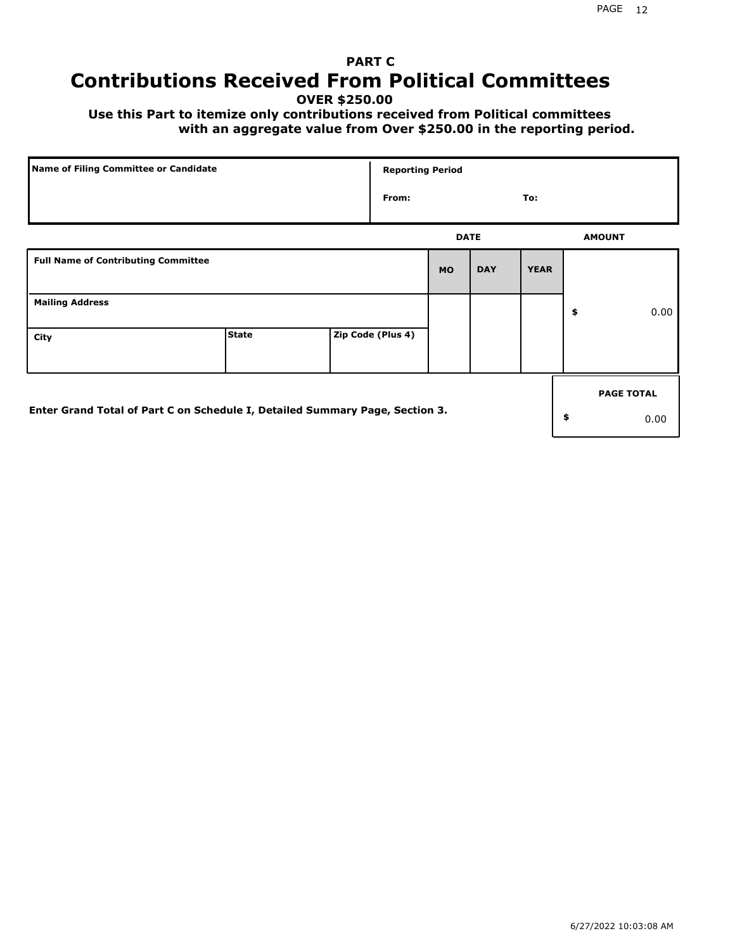## **PART C Contributions Received From Political Committees**

**OVER \$250.00**

 **Use this Part to itemize only contributions received from Political committees with an aggregate value from Over \$250.00 in the reporting period.**

|                                                                              | Name of Filing Committee or Candidate |  | <b>Reporting Period</b> |             |            |             |                   |
|------------------------------------------------------------------------------|---------------------------------------|--|-------------------------|-------------|------------|-------------|-------------------|
|                                                                              |                                       |  | From:                   |             |            | To:         |                   |
|                                                                              |                                       |  |                         | <b>DATE</b> |            |             | <b>AMOUNT</b>     |
| <b>Full Name of Contributing Committee</b>                                   |                                       |  |                         | <b>MO</b>   | <b>DAY</b> | <b>YEAR</b> |                   |
| <b>Mailing Address</b>                                                       |                                       |  |                         |             |            |             | \$<br>0.00        |
| City                                                                         | <b>State</b>                          |  | Zip Code (Plus 4)       |             |            |             |                   |
|                                                                              |                                       |  |                         |             |            |             | <b>PAGE TOTAL</b> |
| Enter Grand Total of Part C on Schedule I, Detailed Summary Page, Section 3. |                                       |  |                         |             |            |             | \$<br>0.00        |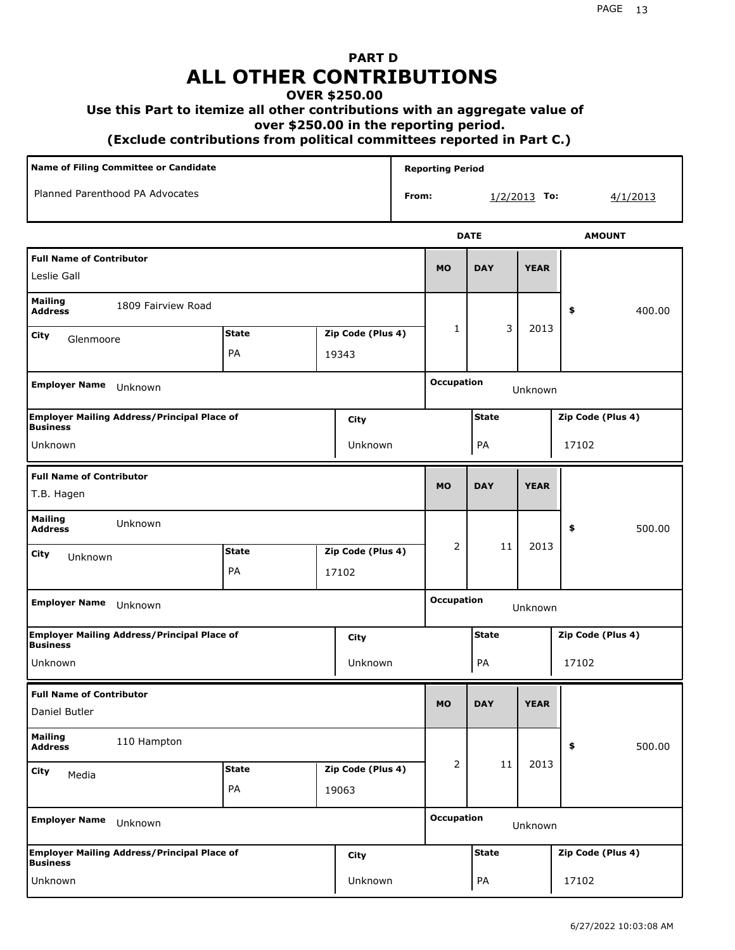## **PART D ALL OTHER CONTRIBUTIONS**

## **OVER \$250.00**

### **Use this Part to itemize all other contributions with an aggregate value of**

 **over \$250.00 in the reporting period.**

 **(Exclude contributions from political committees reported in Part C.)** 

| Name of Filing Committee or Candidate            |                                                    |              |  | <b>Reporting Period</b> |            |                              |              |             |                   |  |  |
|--------------------------------------------------|----------------------------------------------------|--------------|--|-------------------------|------------|------------------------------|--------------|-------------|-------------------|--|--|
| Planned Parenthood PA Advocates<br>From:         |                                                    |              |  |                         |            | $1/2/2013$ To:               | 4/1/2013     |             |                   |  |  |
|                                                  |                                                    |              |  |                         |            |                              | <b>DATE</b>  |             | <b>AMOUNT</b>     |  |  |
| <b>Full Name of Contributor</b><br>Leslie Gall   |                                                    |              |  | <b>MO</b>               | <b>DAY</b> | <b>YEAR</b>                  |              |             |                   |  |  |
| <b>Mailing</b><br><b>Address</b>                 | 1809 Fairview Road                                 |              |  |                         |            |                              |              |             | \$<br>400.00      |  |  |
| City<br>Glenmoore                                |                                                    | <b>State</b> |  | Zip Code (Plus 4)       |            | 1                            | 3            | 2013        |                   |  |  |
|                                                  |                                                    | PA           |  | 19343                   |            |                              |              |             |                   |  |  |
| <b>Employer Name</b>                             | Unknown                                            |              |  |                         |            | <b>Occupation</b>            |              | Unknown     |                   |  |  |
| <b>Business</b>                                  | <b>Employer Mailing Address/Principal Place of</b> |              |  | City                    |            |                              | <b>State</b> |             | Zip Code (Plus 4) |  |  |
| Unknown                                          |                                                    |              |  | Unknown                 |            |                              | PA           |             | 17102             |  |  |
| <b>Full Name of Contributor</b><br>T.B. Hagen    |                                                    |              |  |                         |            | <b>MO</b>                    | <b>DAY</b>   | <b>YEAR</b> |                   |  |  |
| <b>Mailing</b><br><b>Address</b>                 | Unknown                                            |              |  |                         |            |                              |              |             | \$<br>500.00      |  |  |
| City<br>Unknown                                  |                                                    | <b>State</b> |  | Zip Code (Plus 4)       |            | 2                            | 11           | 2013        |                   |  |  |
|                                                  |                                                    | PA           |  | 17102                   |            |                              |              |             |                   |  |  |
| <b>Employer Name</b>                             | Unknown                                            |              |  |                         |            | <b>Occupation</b><br>Unknown |              |             |                   |  |  |
| <b>Business</b>                                  | <b>Employer Mailing Address/Principal Place of</b> |              |  | City                    |            |                              | <b>State</b> |             | Zip Code (Plus 4) |  |  |
| Unknown                                          |                                                    |              |  | Unknown                 |            |                              | PA           |             | 17102             |  |  |
| <b>Full Name of Contributor</b><br>Daniel Butler |                                                    |              |  |                         |            | <b>MO</b>                    | <b>DAY</b>   | <b>YEAR</b> |                   |  |  |
| <b>Mailing</b><br><b>Address</b>                 | 110 Hampton                                        |              |  |                         |            |                              |              |             | \$<br>500.00      |  |  |
| City<br>Media                                    |                                                    | <b>State</b> |  | Zip Code (Plus 4)       |            | 2                            | 11           | 2013        |                   |  |  |
|                                                  |                                                    | PA           |  | 19063                   |            |                              |              |             |                   |  |  |
| <b>Employer Name</b>                             | Unknown                                            |              |  |                         |            | <b>Occupation</b>            |              | Unknown     |                   |  |  |
| <b>Business</b>                                  | <b>Employer Mailing Address/Principal Place of</b> |              |  | City                    |            |                              | <b>State</b> |             | Zip Code (Plus 4) |  |  |
| Unknown                                          |                                                    |              |  | Unknown                 |            |                              | PA           |             | 17102             |  |  |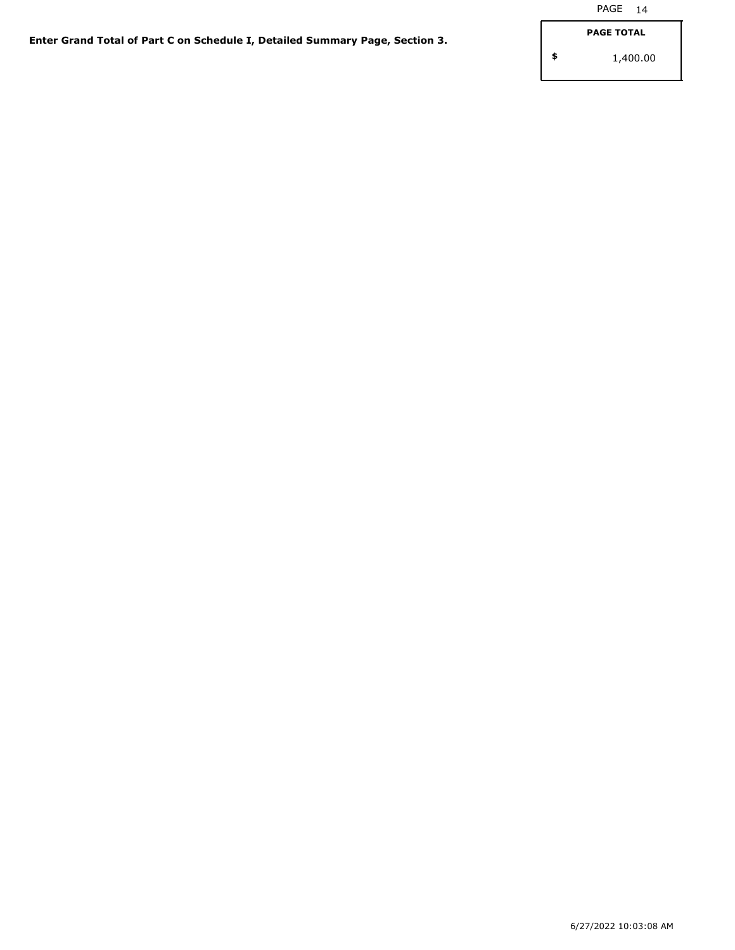**\$**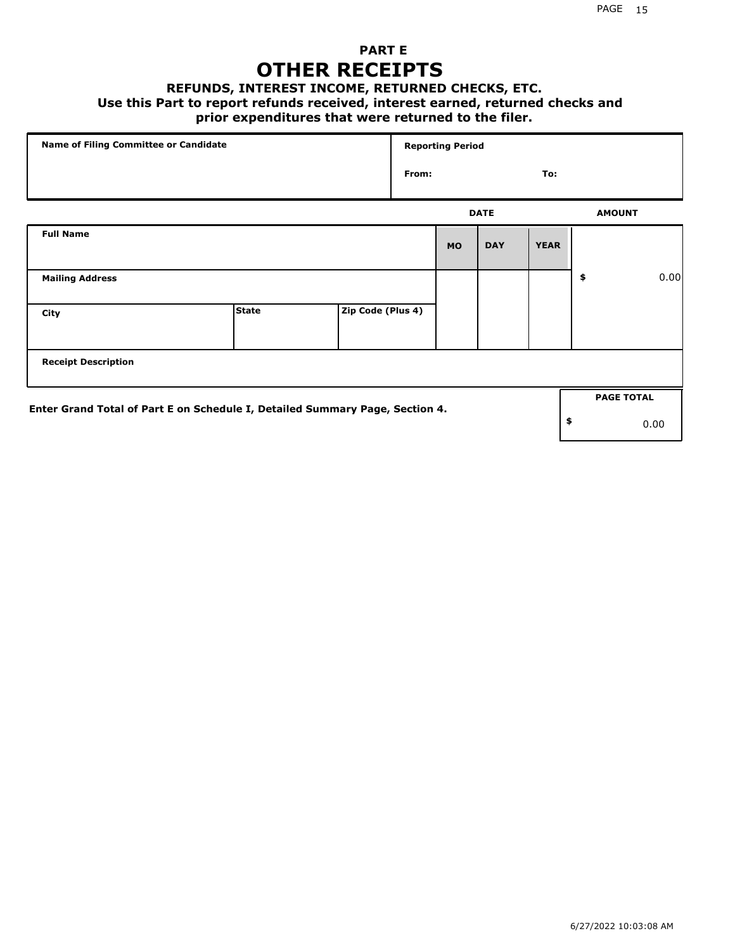## **PART E OTHER RECEIPTS**

#### **REFUNDS, INTEREST INCOME, RETURNED CHECKS, ETC.**

#### **Use this Part to report refunds received, interest earned, returned checks and**

## **prior expenditures that were returned to the filer.**

| Name of Filing Committee or Candidate                                        |              |                   | <b>Reporting Period</b> |           |             |             |    |                   |      |
|------------------------------------------------------------------------------|--------------|-------------------|-------------------------|-----------|-------------|-------------|----|-------------------|------|
|                                                                              |              |                   | From:                   |           |             | To:         |    |                   |      |
|                                                                              |              |                   |                         |           | <b>DATE</b> |             |    | <b>AMOUNT</b>     |      |
| <b>Full Name</b>                                                             |              |                   |                         | <b>MO</b> | <b>DAY</b>  | <b>YEAR</b> |    |                   |      |
| <b>Mailing Address</b>                                                       |              |                   |                         |           |             |             | \$ |                   | 0.00 |
| City                                                                         | <b>State</b> | Zip Code (Plus 4) |                         |           |             |             |    |                   |      |
| <b>Receipt Description</b>                                                   |              |                   |                         |           |             |             |    |                   |      |
| Enter Grand Total of Part E on Schedule I, Detailed Summary Page, Section 4. |              |                   |                         |           |             |             |    | <b>PAGE TOTAL</b> |      |
|                                                                              |              |                   |                         |           |             |             | \$ |                   | 0.00 |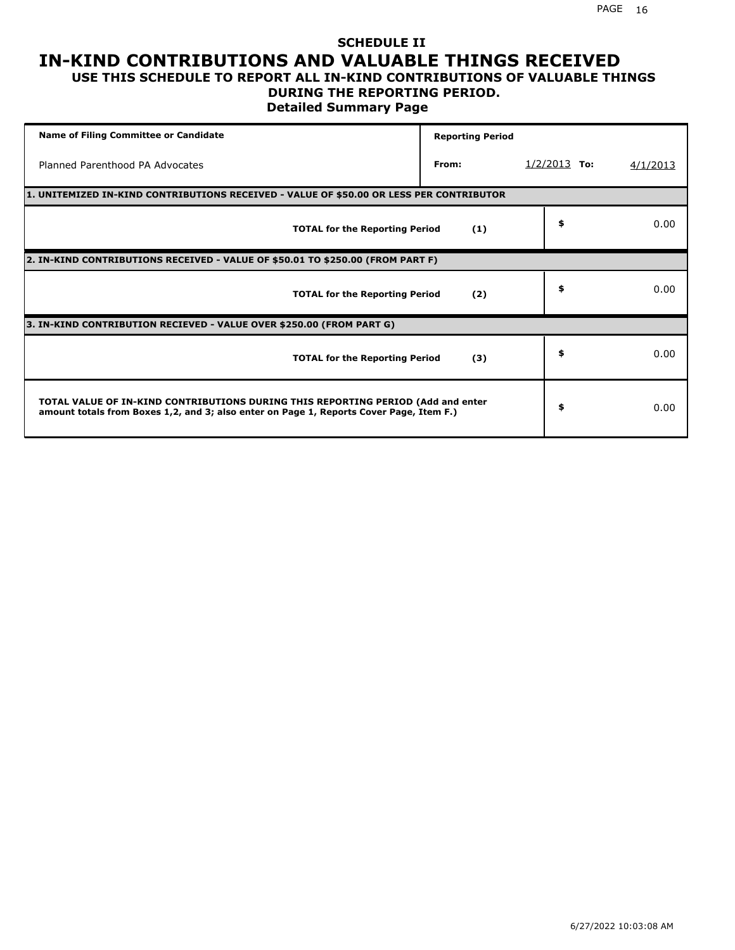### **SCHEDULE II IN-KIND CONTRIBUTIONS AND VALUABLE THINGS RECEIVED USE THIS SCHEDULE TO REPORT ALL IN-KIND CONTRIBUTIONS OF VALUABLE THINGS**

### **DURING THE REPORTING PERIOD.**

**Detailed Summary Page**

| <b>Name of Filing Committee or Candidate</b>                                                                                                                                | <b>Reporting Period</b> |                |          |
|-----------------------------------------------------------------------------------------------------------------------------------------------------------------------------|-------------------------|----------------|----------|
| Planned Parenthood PA Advocates                                                                                                                                             | From:                   | $1/2/2013$ To: | 4/1/2013 |
| 1. UNITEMIZED IN-KIND CONTRIBUTIONS RECEIVED - VALUE OF \$50.00 OR LESS PER CONTRIBUTOR                                                                                     |                         |                |          |
| <b>TOTAL for the Reporting Period</b>                                                                                                                                       | (1)                     | \$             | 0.00     |
| 2. IN-KIND CONTRIBUTIONS RECEIVED - VALUE OF \$50.01 TO \$250.00 (FROM PART F)                                                                                              |                         |                |          |
| <b>TOTAL for the Reporting Period</b>                                                                                                                                       | (2)                     | \$             | 0.00     |
| 3. IN-KIND CONTRIBUTION RECIEVED - VALUE OVER \$250.00 (FROM PART G)                                                                                                        |                         |                |          |
| <b>TOTAL for the Reporting Period</b>                                                                                                                                       | (3)                     | \$             | 0.00     |
| TOTAL VALUE OF IN-KIND CONTRIBUTIONS DURING THIS REPORTING PERIOD (Add and enter<br>amount totals from Boxes 1,2, and 3; also enter on Page 1, Reports Cover Page, Item F.) |                         | \$             | 0.00     |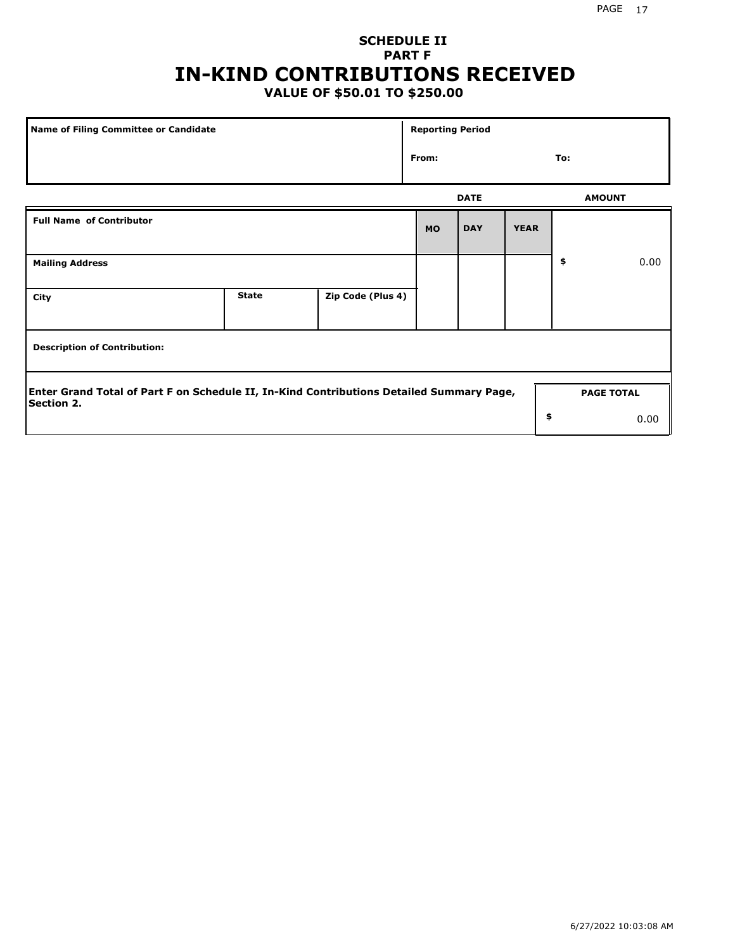## **SCHEDULE II PART F IN-KIND CONTRIBUTIONS RECEIVED**

## **VALUE OF \$50.01 TO \$250.00**

| <b>Name of Filing Committee or Candidate</b>                                                                  |              |                   | <b>Reporting Period</b> |             |             |               |                   |  |
|---------------------------------------------------------------------------------------------------------------|--------------|-------------------|-------------------------|-------------|-------------|---------------|-------------------|--|
|                                                                                                               |              |                   | From:                   |             |             | To:           |                   |  |
|                                                                                                               |              |                   |                         | <b>DATE</b> |             | <b>AMOUNT</b> |                   |  |
| <b>Full Name of Contributor</b>                                                                               |              |                   | <b>MO</b>               | <b>DAY</b>  | <b>YEAR</b> |               |                   |  |
| <b>Mailing Address</b>                                                                                        |              |                   |                         |             |             | \$            | 0.00              |  |
| City                                                                                                          | <b>State</b> | Zip Code (Plus 4) |                         |             |             |               |                   |  |
| <b>Description of Contribution:</b>                                                                           |              |                   |                         |             |             |               |                   |  |
| Enter Grand Total of Part F on Schedule II, In-Kind Contributions Detailed Summary Page,<br><b>Section 2.</b> |              |                   |                         |             |             |               | <b>PAGE TOTAL</b> |  |
|                                                                                                               |              |                   |                         |             | \$          |               | 0.00              |  |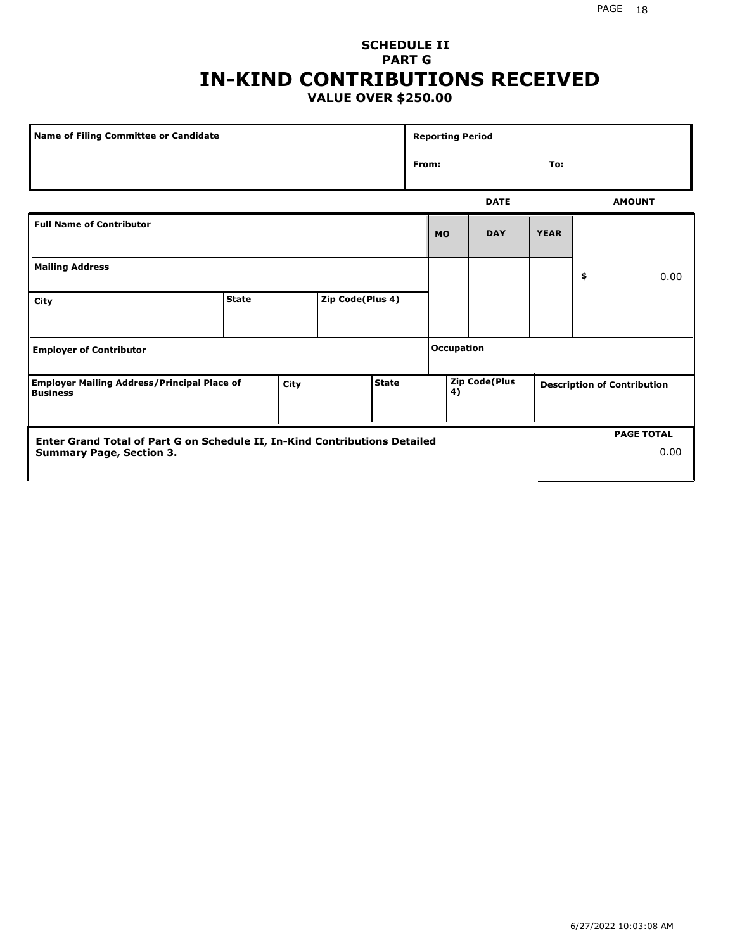### **SCHEDULE II PART G IN-KIND CONTRIBUTIONS RECEIVED VALUE OVER \$250.00**

| Name of Filing Committee or Candidate                                      |              |      |                  | <b>Reporting Period</b> |       |            |                      |             |  |                                    |
|----------------------------------------------------------------------------|--------------|------|------------------|-------------------------|-------|------------|----------------------|-------------|--|------------------------------------|
|                                                                            |              |      |                  |                         | From: |            |                      | To:         |  |                                    |
|                                                                            |              |      |                  |                         |       |            | <b>DATE</b>          |             |  | <b>AMOUNT</b>                      |
| <b>Full Name of Contributor</b>                                            |              |      |                  |                         |       | <b>MO</b>  | <b>DAY</b>           | <b>YEAR</b> |  |                                    |
| <b>Mailing Address</b>                                                     |              |      |                  |                         |       |            | \$                   | 0.00        |  |                                    |
| City                                                                       | <b>State</b> |      | Zip Code(Plus 4) |                         |       |            |                      |             |  |                                    |
| <b>Employer of Contributor</b>                                             |              |      |                  |                         |       | Occupation |                      |             |  |                                    |
| <b>Employer Mailing Address/Principal Place of</b><br><b>Business</b>      |              | City |                  | <b>State</b>            |       | 4)         | <b>Zip Code(Plus</b> |             |  | <b>Description of Contribution</b> |
| Enter Grand Total of Part G on Schedule II, In-Kind Contributions Detailed |              |      |                  |                         |       |            |                      |             |  | <b>PAGE TOTAL</b>                  |
| <b>Summary Page, Section 3.</b>                                            |              |      |                  |                         |       |            |                      |             |  | 0.00                               |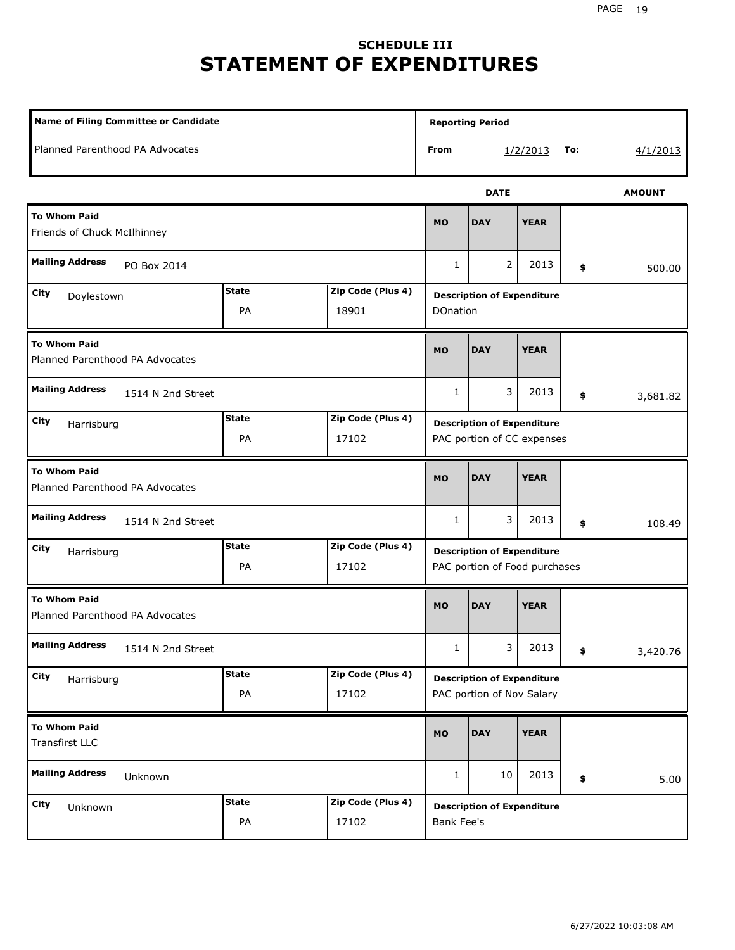## **SCHEDULE III STATEMENT OF EXPENDITURES**

| Name of Filing Committee or Candidate                                  |                    |                                                                 |              | <b>Reporting Period</b>                                            |               |     |          |  |
|------------------------------------------------------------------------|--------------------|-----------------------------------------------------------------|--------------|--------------------------------------------------------------------|---------------|-----|----------|--|
| Planned Parenthood PA Advocates                                        |                    |                                                                 | From         |                                                                    | 1/2/2013      | To: | 4/1/2013 |  |
|                                                                        |                    |                                                                 |              | <b>DATE</b>                                                        | <b>AMOUNT</b> |     |          |  |
| <b>To Whom Paid</b><br>Friends of Chuck McIlhinney                     | <b>MO</b>          | <b>DAY</b>                                                      | <b>YEAR</b>  |                                                                    |               |     |          |  |
| <b>Mailing Address</b><br>PO Box 2014                                  |                    |                                                                 |              | 2                                                                  | 2013          | \$  | 500.00   |  |
| <b>State</b><br>Zip Code (Plus 4)<br>City<br>Doylestown<br>PA<br>18901 |                    |                                                                 | DOnation     | <b>Description of Expenditure</b>                                  |               |     |          |  |
| <b>To Whom Paid</b><br>Planned Parenthood PA Advocates                 |                    |                                                                 |              | <b>DAY</b>                                                         | <b>YEAR</b>   |     |          |  |
| <b>Mailing Address</b><br>1514 N 2nd Street                            |                    |                                                                 | 1            | 3                                                                  | 2013          | \$  | 3,681.82 |  |
| City<br>Harrisburg                                                     |                    | <b>Description of Expenditure</b><br>PAC portion of CC expenses |              |                                                                    |               |     |          |  |
| <b>To Whom Paid</b><br>Planned Parenthood PA Advocates                 |                    |                                                                 | <b>MO</b>    | <b>DAY</b>                                                         | <b>YEAR</b>   |     |          |  |
| <b>Mailing Address</b><br>1514 N 2nd Street                            |                    |                                                                 | $\mathbf{1}$ | 3                                                                  | 2013          | \$  | 108.49   |  |
| City<br>Harrisburg                                                     | <b>State</b><br>PA | Zip Code (Plus 4)<br>17102                                      |              | <b>Description of Expenditure</b><br>PAC portion of Food purchases |               |     |          |  |
| <b>To Whom Paid</b><br>Planned Parenthood PA Advocates                 |                    |                                                                 | <b>MO</b>    | <b>DAY</b>                                                         | <b>YEAR</b>   |     |          |  |
| <b>Mailing Address</b><br>1514 N 2nd Street                            |                    |                                                                 | 1            | 3.                                                                 | 2013          | \$  | 3,420.76 |  |
| City<br>Harrisburg                                                     | <b>State</b><br>PA | Zip Code (Plus 4)<br>17102                                      |              | <b>Description of Expenditure</b><br>PAC portion of Nov Salary     |               |     |          |  |
| <b>To Whom Paid</b><br>Transfirst LLC                                  |                    |                                                                 | MO           | <b>DAY</b>                                                         | <b>YEAR</b>   |     |          |  |
| <b>Mailing Address</b><br>Unknown                                      |                    |                                                                 | $\mathbf{1}$ | 10                                                                 | 2013          | \$  | 5.00     |  |
| City<br>Unknown                                                        | <b>State</b><br>PA | Zip Code (Plus 4)<br>17102                                      | Bank Fee's   | <b>Description of Expenditure</b>                                  |               |     |          |  |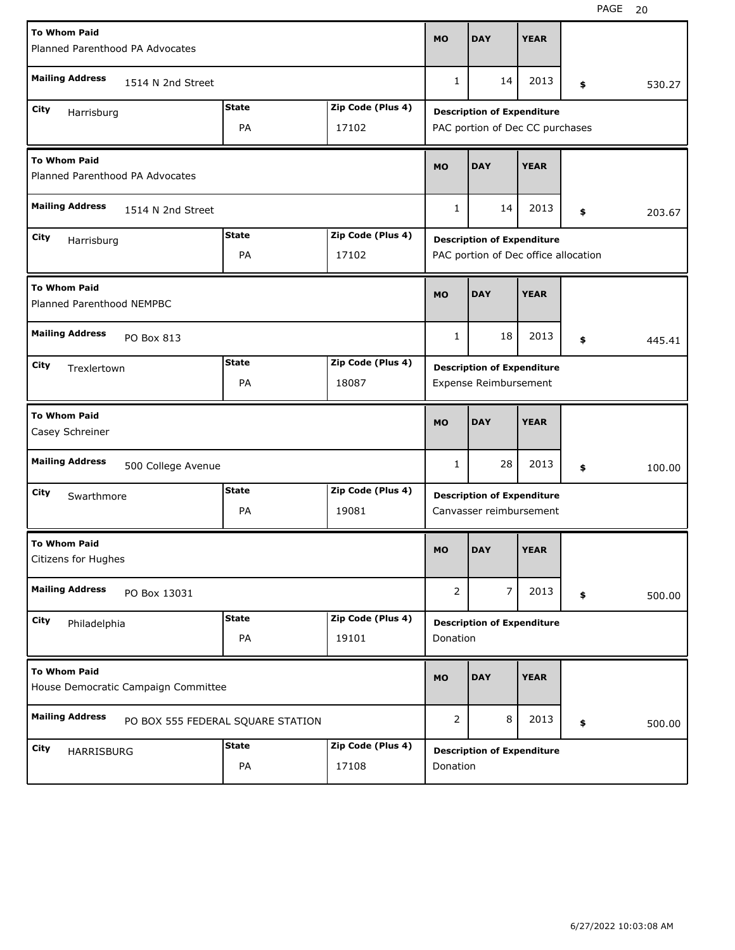| <b>To Whom Paid</b><br>Planned Parenthood PA Advocates     |                    |                                   |                   | <b>MO</b>      | <b>DAY</b>                                                   | <b>YEAR</b> |              |
|------------------------------------------------------------|--------------------|-----------------------------------|-------------------|----------------|--------------------------------------------------------------|-------------|--------------|
| <b>Mailing Address</b>                                     | 1514 N 2nd Street  |                                   |                   | 1              | 14                                                           | 2013        | \$<br>530.27 |
| City<br>Harrisburg                                         |                    | <b>State</b>                      | Zip Code (Plus 4) |                | <b>Description of Expenditure</b>                            |             |              |
| PA<br>17102                                                |                    |                                   |                   |                | PAC portion of Dec CC purchases                              |             |              |
| <b>To Whom Paid</b><br>Planned Parenthood PA Advocates     |                    |                                   |                   |                | <b>DAY</b>                                                   | <b>YEAR</b> |              |
| <b>Mailing Address</b><br>1514 N 2nd Street                |                    |                                   |                   | $\mathbf{1}$   | 14                                                           | 2013        | \$<br>203.67 |
| <b>State</b><br>Zip Code (Plus 4)<br>City<br>Harrisburg    |                    |                                   |                   |                | <b>Description of Expenditure</b>                            |             |              |
|                                                            |                    | PA                                | 17102             |                | PAC portion of Dec office allocation                         |             |              |
| <b>To Whom Paid</b><br>Planned Parenthood NEMPBC           |                    |                                   |                   | <b>MO</b>      | <b>DAY</b>                                                   | <b>YEAR</b> |              |
| <b>Mailing Address</b><br>PO Box 813                       |                    |                                   |                   |                | 18                                                           | 2013        | \$<br>445.41 |
| City<br>Trexlertown                                        |                    | <b>State</b>                      | Zip Code (Plus 4) |                | <b>Description of Expenditure</b>                            |             |              |
|                                                            |                    | PA                                | 18087             |                | Expense Reimbursement                                        |             |              |
| <b>To Whom Paid</b><br>Casey Schreiner                     |                    |                                   |                   |                |                                                              |             |              |
|                                                            |                    |                                   |                   | <b>MO</b>      | <b>DAY</b>                                                   | <b>YEAR</b> |              |
| <b>Mailing Address</b>                                     | 500 College Avenue |                                   |                   | 1              | 28                                                           | 2013        | \$<br>100.00 |
| City                                                       |                    | <b>State</b>                      | Zip Code (Plus 4) |                |                                                              |             |              |
| Swarthmore                                                 |                    | PA                                | 19081             |                | <b>Description of Expenditure</b><br>Canvasser reimbursement |             |              |
| <b>To Whom Paid</b><br>Citizens for Hughes                 |                    |                                   |                   | <b>MO</b>      | <b>DAY</b>                                                   | <b>YEAR</b> |              |
| <b>Mailing Address</b>                                     | PO Box 13031       |                                   |                   | $\overline{2}$ | 7                                                            | 2013        | \$<br>500.00 |
| City                                                       |                    | <b>State</b>                      | Zip Code (Plus 4) |                |                                                              |             |              |
| Philadelphia                                               |                    | PA                                | 19101             | Donation       | <b>Description of Expenditure</b>                            |             |              |
| <b>To Whom Paid</b><br>House Democratic Campaign Committee |                    |                                   |                   | <b>MO</b>      | <b>DAY</b>                                                   | <b>YEAR</b> |              |
| <b>Mailing Address</b>                                     |                    | PO BOX 555 FEDERAL SQUARE STATION |                   | $\overline{2}$ | 8                                                            | 2013        | \$<br>500.00 |
| City<br>HARRISBURG                                         |                    | <b>State</b>                      | Zip Code (Plus 4) |                | <b>Description of Expenditure</b>                            |             |              |

H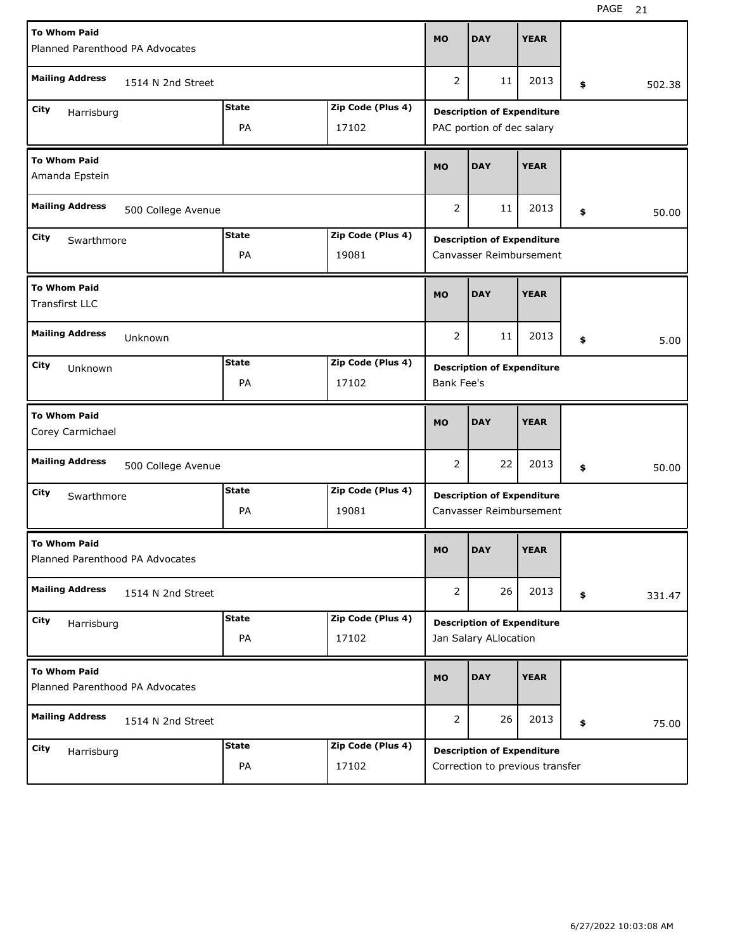| <b>To Whom Paid</b>                                     |              |                                   | <b>MO</b>                         | <b>DAY</b>                        | <b>YEAR</b> |    |        |  |  |
|---------------------------------------------------------|--------------|-----------------------------------|-----------------------------------|-----------------------------------|-------------|----|--------|--|--|
| Planned Parenthood PA Advocates                         |              |                                   |                                   |                                   |             |    |        |  |  |
| <b>Mailing Address</b><br>1514 N 2nd Street             |              |                                   | 2                                 | 11                                | 2013        | \$ | 502.38 |  |  |
| City<br>Harrisburg                                      | <b>State</b> | Zip Code (Plus 4)                 | <b>Description of Expenditure</b> |                                   |             |    |        |  |  |
|                                                         | PA           | 17102                             |                                   | PAC portion of dec salary         |             |    |        |  |  |
| <b>To Whom Paid</b><br>Amanda Epstein                   | <b>MO</b>    | <b>DAY</b>                        | <b>YEAR</b>                       |                                   |             |    |        |  |  |
| <b>Mailing Address</b><br>500 College Avenue            | 2            | 11                                | 2013                              | \$                                | 50.00       |    |        |  |  |
| <b>State</b><br>Zip Code (Plus 4)<br>City<br>Swarthmore |              |                                   |                                   | <b>Description of Expenditure</b> |             |    |        |  |  |
|                                                         | PA           | 19081                             |                                   | Canvasser Reimbursement           |             |    |        |  |  |
| <b>To Whom Paid</b><br><b>Transfirst LLC</b>            |              |                                   | <b>MO</b>                         | <b>DAY</b>                        | <b>YEAR</b> |    |        |  |  |
| <b>Mailing Address</b><br>Unknown                       |              |                                   |                                   |                                   | 2013        | \$ | 5.00   |  |  |
| City<br>Unknown                                         |              | <b>Description of Expenditure</b> |                                   |                                   |             |    |        |  |  |
|                                                         | PA           | 17102                             | <b>Bank Fee's</b>                 |                                   |             |    |        |  |  |
|                                                         |              |                                   |                                   |                                   |             |    |        |  |  |
| <b>To Whom Paid</b><br>Corey Carmichael                 |              |                                   | <b>MO</b>                         | <b>DAY</b>                        | <b>YEAR</b> |    |        |  |  |
| <b>Mailing Address</b><br>500 College Avenue            |              |                                   | 2                                 | 22                                | 2013        | \$ | 50.00  |  |  |
| City<br>Swarthmore                                      | <b>State</b> | Zip Code (Plus 4)                 |                                   | <b>Description of Expenditure</b> |             |    |        |  |  |
|                                                         | PA           | 19081                             |                                   | Canvasser Reimbursement           |             |    |        |  |  |
| <b>To Whom Paid</b><br>Planned Parenthood PA Advocates  |              |                                   | <b>MO</b>                         | <b>DAY</b>                        | <b>YEAR</b> |    |        |  |  |
| <b>Mailing Address</b><br>1514 N 2nd Street             |              |                                   | $\overline{2}$                    | 26                                | 2013        | \$ | 331.47 |  |  |
| City                                                    | <b>State</b> | Zip Code (Plus 4)                 |                                   | <b>Description of Expenditure</b> |             |    |        |  |  |
| Harrisburg                                              | PA           | 17102                             |                                   | Jan Salary ALlocation             |             |    |        |  |  |
| <b>To Whom Paid</b><br>Planned Parenthood PA Advocates  |              |                                   | <b>MO</b>                         | <b>DAY</b>                        | <b>YEAR</b> |    |        |  |  |
| <b>Mailing Address</b><br>1514 N 2nd Street             |              |                                   | 2                                 | 26                                | 2013        | \$ | 75.00  |  |  |
| City<br>Harrisburg                                      | <b>State</b> | Zip Code (Plus 4)                 |                                   | <b>Description of Expenditure</b> |             |    |        |  |  |